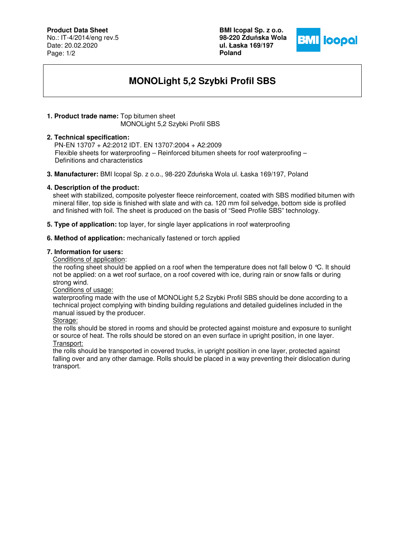## **Product Data Sheet**

No.: IT-4/2014/eng rev.5 Date: 20.02.2020 Page: 1/2

**BMI Icopal Sp. z o.o. 98-220 Zdu**ń**ska Wola ul. Łaska 169/197 Poland** 



# **MONOLight 5,2 Szybki Profil SBS**

## **1. Product trade name:** Top bitumen sheet

MONOLight 5,2 Szybki Profil SBS

### **2. Technical specification:**

 PN-EN 13707 + A2:2012 IDT. EN 13707:2004 + A2:2009 Flexible sheets for waterproofing – Reinforced bitumen sheets for roof waterproofing – Definitions and characteristics

**3. Manufacturer:** BMI Icopal Sp. z o.o., 98-220 Zduńska Wola ul. Łaska 169/197, Poland

## **4. Description of the product:**

sheet with stabilized, composite polyester fleece reinforcement, coated with SBS modified bitumen with mineral filler, top side is finished with slate and with ca. 120 mm foil selvedge, bottom side is profiled and finished with foil. The sheet is produced on the basis of "Seed Profile SBS" technology.

**5. Type of application:** top layer, for single layer applications in roof waterproofing

### **6. Method of application:** mechanically fastened or torch applied

### **7. Information for users:**

Conditions of application:

the roofing sheet should be applied on a roof when the temperature does not fall below 0 °C. It should not be applied: on a wet roof surface, on a roof covered with ice, during rain or snow falls or during strong wind.

#### Conditions of usage:

waterproofing made with the use of MONOLight 5,2 Szybki Profil SBS should be done according to a technical project complying with binding building regulations and detailed guidelines included in the manual issued by the producer.

### Storage:

the rolls should be stored in rooms and should be protected against moisture and exposure to sunlight or source of heat. The rolls should be stored on an even surface in upright position, in one layer. Transport:

the rolls should be transported in covered trucks, in upright position in one layer, protected against falling over and any other damage. Rolls should be placed in a way preventing their dislocation during transport.